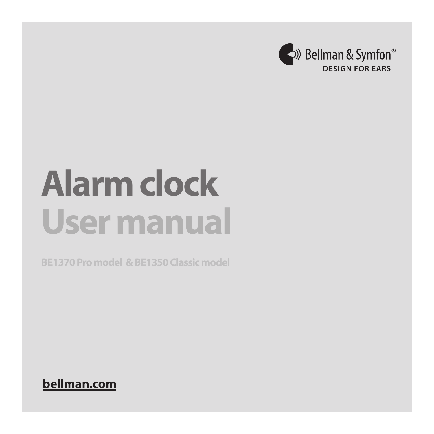

# **Alarm clock User manual**

**bellman.com**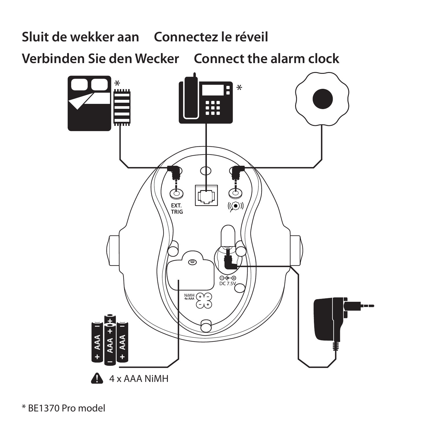# Sluit de wekker aan Connectez le réveil

Verbinden Sie den Wecker Connect the alarm clock



\* BF1370 Pro model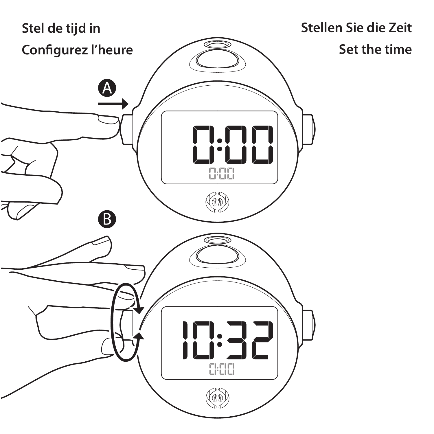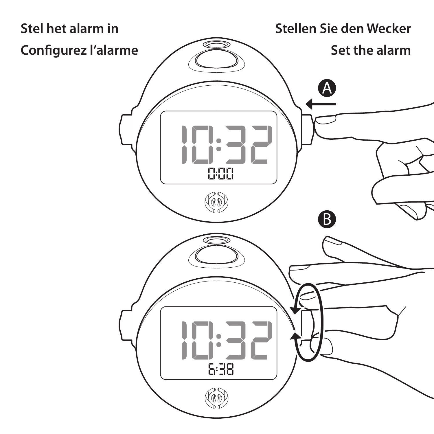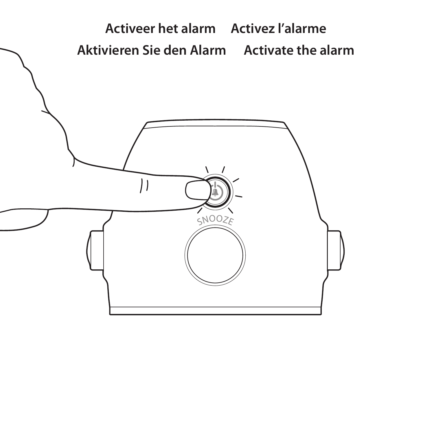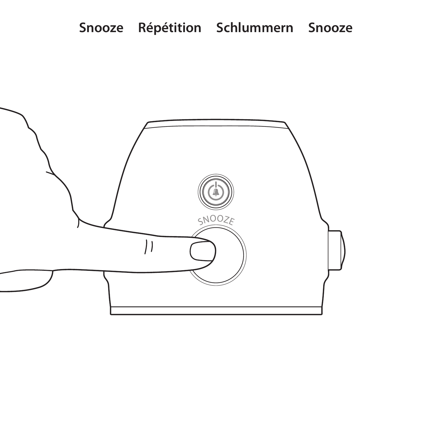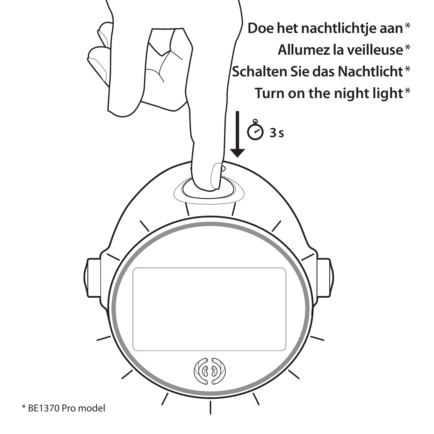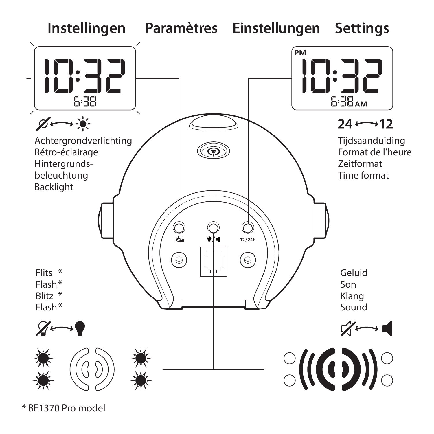

\* BE1370 Pro model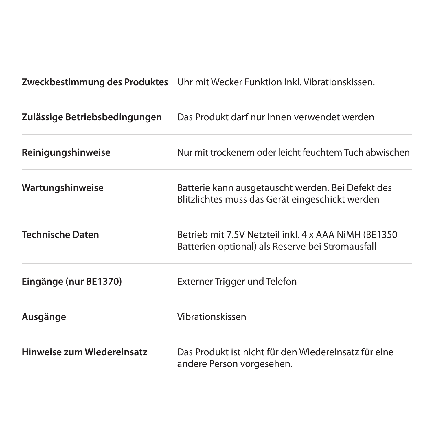**Zweckbestimmung des Produktes** Uhr mit Wecker Funktion inkl. Vibrationskissen.

| Zulässige Betriebsbedingungen | Das Produkt darf nur Innen verwendet werden                                                               |
|-------------------------------|-----------------------------------------------------------------------------------------------------------|
| Reinigungshinweise            | Nur mit trockenem oder leicht feuchtem Tuch abwischen                                                     |
| Wartungshinweise              | Batterie kann ausgetauscht werden. Bei Defekt des<br>Blitzlichtes muss das Gerät eingeschickt werden      |
| <b>Technische Daten</b>       | Betrieb mit 7.5V Netzteil inkl. 4 x AAA NiMH (BE1350)<br>Batterien optional) als Reserve bei Stromausfall |
| Eingänge (nur BE1370)         | Externer Trigger und Telefon                                                                              |
| Ausgänge                      | Vibrationskissen                                                                                          |
| Hinweise zum Wiedereinsatz    | Das Produkt ist nicht für den Wiedereinsatz für eine<br>andere Person vorgesehen.                         |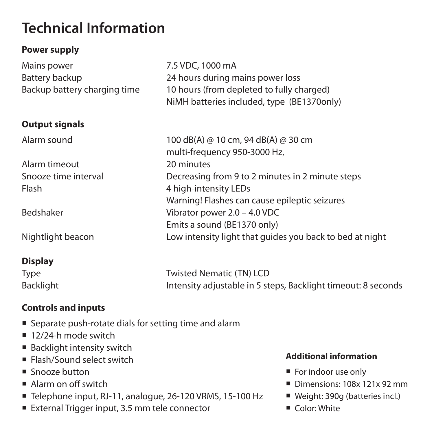# **Technical Information**

## **Power supply**

| Mains power                  | 7.5 VDC, 1000 mA                                         |
|------------------------------|----------------------------------------------------------|
| Battery backup               | 24 hours during mains power loss                         |
| Backup battery charging time | 10 hours (from depleted to fully charged)                |
|                              | NiMH batteries included, type (BE1370only)               |
| <b>Output signals</b>        |                                                          |
| Alarm sound                  | 100 dB(A) @ 10 cm, 94 dB(A) @ 30 cm                      |
|                              | multi-frequency 950-3000 Hz,                             |
| Alarm timeout                | 20 minutes                                               |
| Snooze time interval         | Decreasing from 9 to 2 minutes in 2 minute steps         |
| Flash                        | 4 high-intensity LEDs                                    |
|                              | Warning! Flashes can cause epileptic seizures            |
| Bedshaker                    | Vibrator power 2.0 - 4.0 VDC                             |
|                              | Emits a sound (BE1370 only)                              |
| Nightlight beacon            | Low intensity light that quides you back to bed at night |
|                              |                                                          |

## **Display**

| Type      | Twisted Nematic (TN) LCD                                      |
|-----------|---------------------------------------------------------------|
| Backlight | Intensity adjustable in 5 steps, Backlight timeout: 8 seconds |

### **Controls and inputs**

- Separate push-rotate dials for setting time and alarm
- $12/24-h$  mode switch
- Backlight intensity switch
- **Flash/Sound select switch**
- Snooze button
- Alarm on off switch
- Telephone input, RJ-11, analogue, 26-120 VRMS, 15-100 Hz
- External Trigger input, 3.5 mm tele connector

# **Additional information**

- For indoor use only
- Dimensions: 108x 121x 92 mm
- Weight: 390g (batteries incl.)
- $\blacksquare$  Color: White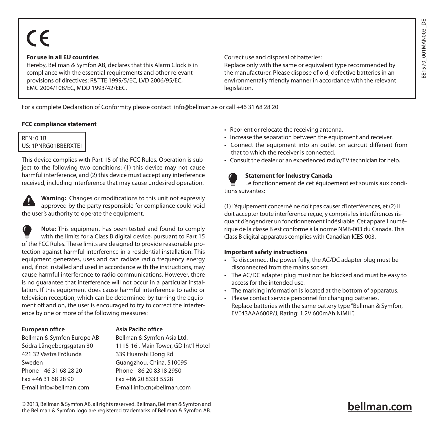# $\epsilon$

#### **For use in all EU countries**

Hereby, Bellman & Symfon AB, declares that this Alarm Clock is in compliance with the essential requirements and other relevant provisions of directives: R&TTE 1999/5/EC, LVD 2006/95/EC EMC 2004/108/EC, MDD 1993/42/EEC.

Correct use and disposal of batteries:

Replace only with the same or equivalent type recommended by the manufacturer. Please dispose of old, defective batteries in an environmentally friendly manner in accordance with the relevant legislation.

For a complete Declaration of Conformity please contact info@bellman.se or call +46 31 68 28 20

#### **FCC compliance statement**

REN: 0.1B US: 1PNRG01BBERXTE

This device complies with Part 15 of the FCC Rules. Operation is subject to the following two conditions: (1) this device may not cause harmful interference, and (2) this device must accept any interference received, including interference that may cause undesired operation.

**Warning:** Changes or modifications to this unit not expressly approved by the party responsible for compliance could void the user's authority to operate the equipment.

**Note:** This equipment has been tested and found to comply with the limits for a Class B digital device, pursuant to Part 15 of the FCC Rules. These limits are designed to provide reasonable protection against harmful interference in a residential installation. This equipment generates, uses and can radiate radio frequency energy and, if not installed and used in accordance with the instructions, may cause harmful interference to radio communications. However, there is no guarantee that interference will not occur in a particular installation. If this equipment does cause harmful interference to radio or television reception, which can be determined by turning the equipment off and on, the user is encouraged to try to correct the interference by one or more of the following measures:

#### **European office**

#### Bellman & Symfon Europe AB Södra Långebergsgatan 30 421 32 Västra Frölunda Sweden Phone +46 31 68 28 20 Fax +46 31 68 28 90 E-mail info@bellman.com

Bellman & Symfon Asia Ltd. 1115-16 , Main Tower, GD Int'l Hotel 339 Huanshi Dong Rd Guangzhou, China, 510095 Phone +86 20 8318 2950 Fax +86 20 8333 5528 E-mail info.cn@bellman.com

**Asia Pacific office**

- Reorient or relocate the receiving antenna.
- Increase the separation between the equipment and receiver.
- Connect the equipment into an outlet on acircuit different from that to which the receiver is connected.
- Consult the dealer or an experienced radio/TV technician for help.

#### **Statement for Industry Canada**

Le fonctionnement de cet équipement est soumis aux conditions suivantes:

(1) l'équipement concerné ne doit pas causer d'interférences, et (2) il doit accepter toute interférence reçue, y compris les interférences risquant d'engendrer un fonctionnement indésirable. Cet appareil numérique de la classe B est conforme à la norme NMB-003 du Canada. This Class B digital apparatus complies with Canadian ICES-003.

#### **Important safety instructions**

- To disconnect the power fully, the AC/DC adapter plug must be disconnected from the mains socket.
- The AC/DC adapter plug must not be blocked and must be easy to access for the intended use.
- The marking information is located at the bottom of apparatus.
- Please contact service personnel for changing batteries. Replace batteries with the same battery type "Bellman & Symfon, EVE43AAA600P/J, Rating: 1.2V 600mAh NiMH".

# **bellman.com**